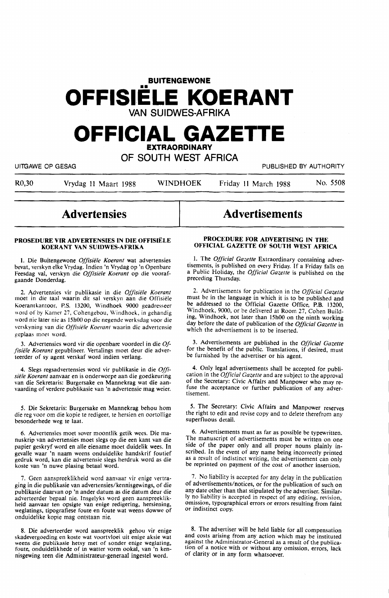# **BUITENGEWONE**  OFFISIELE KOERANT VAN SUIDWES-AFRIKA

# **OFFICIAL GAZETTE**

**EXTRAORDINARY**  OF SOUTH WEST AFRICA

UITGAWE OP GESAG PUBLISHED BY AUTHORITY

R0,30 Vrydag 11 Maart 1988 WINDHOEK Friday 11 March 1988 No. 5508

# **Advertensies**

#### **PROSEDURE VIR ADVERTENSIES IN DIE OFFISIELE KOERANT VAN SUIDWES-AFRIKA**

I. Die Buitengewone *Offisiele Koerant* wat advertensies bevat, verskyn elke Vrydag. Indien 'n Vrydag op 'n Openbare Feesdag val, verskyn die *Offisiele Koerant* op die voorafgaande Donderdag.

2. Advertensies vir publikasie in .die *Ofjisiele Koerant*  moet in die taal waarin dit sal verskyn aan die Offisiele Koerantkantoor, P.S. 13200, Windhoek 9000 geadresseer word of by Kamer 27, Cohengebou, Windhoek, in gehandig word nie later nie as 15h00 op die negende werksdag voor die verskyning van die *Offisiele Koerant* waarin die advertensie geplaas moet word.

3. Advertensies word vir die openbare voordeel in die *Offisiele Koerant* gepubliseer. Vertalings moet deur die adverteerder of sy agent verskaf word indien verlang.

4. Slegs regsadvertensies word vir publikasie in die *Offisiele Koerant* aanvaar en is onderworpe aan die goedkeuring van die Sekretaris: Burgersake en Mannekrag wat die aanvaarding of verdere publikasie van 'n advertensie mag weier.

*5.* Die Sekretaris: Burgersake en Mannekrag behou horn die reg voor om die kopie te redigeer, te hersien en oortollige besonderhede weg te laat.

6. Advertensies moet sover moontlik getik wees. Die manuskrip van advertensies moet slegs op die een kant van die papier geskryf word en alle eiename moet duidelik wees. In gevalle waar 'n naam weens onduidelike handskrif foutief gedruk word, kan die advertensie slegs herdruk word as die koste van 'n nuwe plasing betaal word.

7. Geen aanspreeklikheid word aanvaar vir enige vertraging in die publikasie van advertensies/kennisgewings, of die publikasie daarvan op 'n ander datum as die datum deur die adverteerder bepaal nie. Insgelyks word geen aanspreeklikheid aanvaar ten opsigte van enige redigering, hersiening, weglatings, tipografiese foute en foute wat weens dowwe of onduidelike kopie mag ontstaan nie.

8. Die adverteerder word aanspreeklik gehou vir enige skadevergoeding en koste wat voortvloei uit enige aksie wat weens die publikasie hetsy met of sonder enige weglating, foute, onduidelikhede of in watter vorm ookal, van 'n kennisgewing teen die Administrateur-generaal ingestel word.

# **Advertisements**

# **PROCEDURE FOR ADVERTISING IN THE OFFICIAL GAZETTE OF SOUTH WEST AFRICA**

1. The *Official Gazette* Extraordinary containing advertisements, is published on every Friday. If a Friday falls on a Public Holiday, the *Official Gazette* is published on the preceding Thursday.

2. Advertisements for publication in the *Official Gazette*  must be in the language in which it is to be published and be addressed to the Official Gazette Office, P.B. 13200, Wmdhoek, 9000, or be delivered at Room 27, Cohen Building, Windhoek, not later than 15h00 on the ninth working day before the date of publication of the *Official Gazette* in which the advertisement is to be inserted.

3. Advertisements are published in the *Official Gazette*  for the benefit of the public. Translations, if desired, must be furnished by the advertiser or his agent.

4. Only legal advertisements shall be accepted for publication in the *Official Gazette* and are subject to the approval of the Secretary: Civic Affairs and Manpower who may refuse the acceptance or further publication of any advertisement.

*S.* The Secretary: Civic Affairs and Manpower reserves the right to edit and revise copy and to delete therefrom any superfluous detail.

6. Advertisements must as far as possible be typewritten. The manuscript of advertisements must be written on one side of the paper only and all proper nouns plainly inscribed. In the event of any name being incorrectly printed as a result of indistinct writing, the advertisement can only be reprinted on payment of the cost of another insertion.

7. No liability is accepted for any delay in the publication of advertisements/notices, or for the publication of such on any date other than that stipulated by the advertiser. Similarly no liability is accepted in respect of any editing, revision, omission, typographical errors or errors resulting from faint or indistinct copy.

8. The advertiser will be held liable for all compensation and costs arising from any action which may be instituted against the Administrator-General as a result of the publication of a notice with or without any omission, errors, lack of clarity or in any form whatsoever.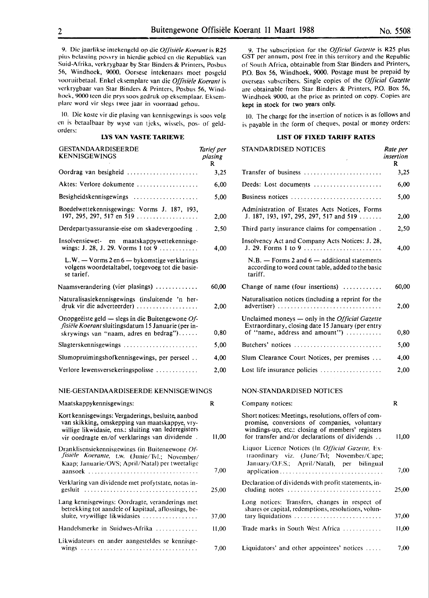9. Die jaarliksc intckengcld op die *Ojfisiele Koerant* is **R25**  pius belasting posvry in hierdie gebied en die Republiek van Suid-Afrika, vcrkrygbaar by Star Binders & Printers, Posbus 56, Windhoek, 9000. Oorsese intckenaars moct posgcld vooruitbetaal. Enkcl cksemplare van die *Offisie/e Koerunt* is vcrkrygbaar van Star Binders & Printers, Posbus 56, Windhoek, 9000 teen die prys soos gedruk op ekscmplaar. Ekscmplan: word vir slcgs twee jaar in voorraad gehou.

10. Die kostc vir die plasing van kcnnisgcwings is soos volg en is bctaalbaar by wyse van tjcks, wisscls, pos- of geldorders:

# **LYS VAN VASTE TARIEWE**

| GESTANDA ARDISEERDE<br><b>KENNISGEWINGS</b>                                                                                                                                                                    | Tarief per<br>plasing<br>R |
|----------------------------------------------------------------------------------------------------------------------------------------------------------------------------------------------------------------|----------------------------|
| Oordrag van besigheid                                                                                                                                                                                          | 3,25                       |
| Aktes: Verlore dokumente                                                                                                                                                                                       | 6,00                       |
|                                                                                                                                                                                                                | 5,00                       |
| Boedelwettekennisgewings: Vorms J. 187, 193,<br>197, 295, 297, 517 en 519                                                                                                                                      | 2,00                       |
| Derdepartyassuransie-eise om skadevergoeding.                                                                                                                                                                  | 2,50                       |
| Insolvensiewet- en maatskappywettekennisge-<br>wings: J. 28, J. 29. Vorms 1 tot 9                                                                                                                              | 4,00                       |
| L.W. - Vorms 2 en 6 - bykomstige verklarings<br>volgens woordetaltabel, toegevoeg tot die basie-<br>se tarief.                                                                                                 |                            |
| Naamsverandering (vier plasings)                                                                                                                                                                               | 60,00                      |
| Naturalisasiekennisgewings (insluitende 'n her-<br>druk vir die adverteerder)                                                                                                                                  | 2,00                       |
| Onopgeëiste geld — slegs in die Buitengewone $Of$ -<br>fisiële Koerant sluitingsdatum 15 Januarie (per in-<br>skrywings van "naam, adres en bedrag")                                                           | 0,80                       |
| Slagterskennisgewings                                                                                                                                                                                          | 5,00                       |
| Slumopruimingshofkennisgewings, per perseel                                                                                                                                                                    | 4,00                       |
| Verlore Iewensversekeringspolisse                                                                                                                                                                              | 2,00                       |
| NIE-GESTANDAARDISEERDE KENNISGEWINGS                                                                                                                                                                           |                            |
| Maatskappykennisgewings:                                                                                                                                                                                       | R                          |
| Kort kennisgewings: Vergaderings, besluite, aanbod<br>van skikking, omskepping van maatskappye, vry-<br>willige likwidasie, ens.: sluiting van lederegisters<br>vir oordragte en/of verklarings van dividende. | 11,00                      |
| Dranklisensiekennisgewings (in Buitengewone Of-<br>fisiële Koerante, t.w. (Junie/Tvl.; November/<br>Kaap; Januarie/OVS; April/Natal) per tweetalige<br>aansoek-                                                | 7,00                       |
| Verklaring van dividende met profytstate, notas in-<br>gesluit                                                                                                                                                 | 25,00                      |
| Lang kennisgewings: Oordragte, veranderings met<br>betrekking tot aandele of kapitaal, aflossings, be-<br>sluite, vrywillige likwidasies                                                                       | 37,00                      |
| Handelsmerke in Suidwes-Afrika                                                                                                                                                                                 | 11,00                      |
| Likwidateurs en ander aangesteldes se kennisge-                                                                                                                                                                |                            |

9. The subscription for the *Official Gazette* is R25 plus GST per annum, post free. in this territory and the Republic of South Africa, obtainable from Star Binders and Printers, P.O. Box 56, Windhoek, 9000. Postage must be prepaid by overseas subscribers. Single copies of the *Official Gazelle*  arc obtainable from Star Binders & Printers, P.O. Box 56, Windhoek 9000, at the price as printed on copy. Copies are kept in stock for two years only.

IO. The charge for the insertion of notices is as follows and is payable in the form of cheques, postal or money orders:

# **LIST OF FIXED TARIFF RATES**

| GESTANDAARDISEERDE<br>KENNISGEWINGS                                                                                                                                                                            | Tarief per<br>plasing<br>R | STANDARDISED NOTICES                                                                                                                                                                                      | Rate per<br>insertion<br>R |
|----------------------------------------------------------------------------------------------------------------------------------------------------------------------------------------------------------------|----------------------------|-----------------------------------------------------------------------------------------------------------------------------------------------------------------------------------------------------------|----------------------------|
| Dordrag van besigheid                                                                                                                                                                                          | 3,25                       | Transfer of business                                                                                                                                                                                      | 3,25                       |
| Aktes: Verlore dokumente                                                                                                                                                                                       | 6,00                       | Deeds: Lost documents                                                                                                                                                                                     | 6,00                       |
| Besigheidskennisgewings                                                                                                                                                                                        | 5,00                       | Business notices                                                                                                                                                                                          | 5,00                       |
| Boedelwettekennisgewings: Vorms J. 187, 193,<br>197, 295, 297, 517 en 519                                                                                                                                      | 2,00                       | Administration of Estates Acts Notices, Forms<br>J. 187, 193, 197, 295, 297, 517 and 519                                                                                                                  | 2,00                       |
| Derdepartyassuransie-eise om skadevergoeding.                                                                                                                                                                  | 2,50                       | Third party insurance claims for compensation.                                                                                                                                                            | 2,50                       |
| nsolvensiewet- en maatskappywettekennisge-<br>wings: J. 28, J. 29. Vorms 1 tot 9                                                                                                                               | 4,00                       | Insolvency Act and Company Acts Notices: J. 28,                                                                                                                                                           | 4,00                       |
| L.W. $-$ Vorms 2 en 6 $-$ by komstige verklarings<br>volgens woordetaltabel, toegevoeg tot die basie-<br>se tarief.                                                                                            |                            | $N.B.$ – Forms 2 and 6 – additional statements<br>according to word count table, added to the basic<br>tariff.                                                                                            |                            |
| Vaamsverandering (vier plasings)                                                                                                                                                                               | 60,00                      | Change of name (four insertions)                                                                                                                                                                          | 60,00                      |
| Naturalisasiekennisgewings (insluitende 'n her-<br>druk vir die adverteerder)                                                                                                                                  | 2,00                       | Naturalisation notices (including a reprint for the<br>advertiser)                                                                                                                                        | 2,00                       |
| Onopgeëiste geld — slegs in die Buitengewone $Of$ -<br><i>fisiële Koerant</i> sluitingsdatum 15 Januarie (per in-<br>skrywings van "naam, adres en bedrag")                                                    | 0,80                       | Unclaimed moneys - only in the Official Gazette<br>Extraordinary, closing date 15 January (per entry<br>of "name, address and amount")                                                                    | 0,80                       |
| $slagterskenn isgewings \dots \dots \dots \dots \dots \dots \dots \dots$                                                                                                                                       | 5,00                       | Butchers' notices                                                                                                                                                                                         | 5,00                       |
| Slumopruimingshofkennisgewings, per perseel                                                                                                                                                                    | 4,00                       | Slum Clearance Court Notices, per premises                                                                                                                                                                | 4,00                       |
| /erlore Iewensversekeringspolisse                                                                                                                                                                              | 2,00                       | Lost life insurance policies $\dots\dots\dots\dots\dots\dots$                                                                                                                                             | 2,00                       |
| NIE-GESTANDAARDISEERDE KENNISGEWINGS                                                                                                                                                                           |                            | NON-STANDARDISED NOTICES                                                                                                                                                                                  |                            |
| Maatskappykennisgewings:                                                                                                                                                                                       | $\mathbf R$                | Company notices:                                                                                                                                                                                          | $\mathbf R$                |
| Kort kennisgewings: Vergaderings, besluite, aanbod<br>van skikking, omskepping van maatskappye, vry-<br>willige likwidasie, ens.: sluiting van lederegisters<br>vir oordragte en/of verklarings van dividende. | 11,00                      | Short notices: Meetings, resolutions, offers of com-<br>promise, conversions of companies, voluntary<br>windings-up, etc.: closing of members' registers<br>for transfer and/or declarations of dividends | 11,00                      |
| Dranklisensiekennisgewings (in Buitengewone Of-<br>fisiële Koerante, t.w. (Junie/Tvl.; November/<br>Kaap; Januarie/OVS; April/Natal) per tweetalige                                                            | 7,00                       | Liquor Licence Notices (In Official Gazette, Ex-<br>traordinary viz. (June/Tvl; November/Cape;<br>January/O.F.S.; April/Natal), per bilingual<br>application                                              | 7,00                       |
| /erklaring van dividende met profytstate, notas in-                                                                                                                                                            | 25,00                      | Declaration of dividends with profit statements, in-<br>cluding notes                                                                                                                                     | 25,00                      |
| ang kennisgewings: Oordragte, veranderings met<br>betrekking tot aandele of kapitaal, aflossings, be-<br>sluite, vrywillige likwidasies                                                                        | 37,00                      | Long notices: Transfers, changes in respect of<br>shares or capital, redemptions, resolutions, volun-<br>tary liquidations                                                                                | 37,00                      |
| Handelsmerke in Suidwes-Afrika                                                                                                                                                                                 | 11,00                      | Trade marks in South West Africa                                                                                                                                                                          | 11,00                      |
| ikwidateurs en ander aangesteldes se kennisge-                                                                                                                                                                 | 7,00                       | Liquidators' and other appointees' notices                                                                                                                                                                | 7,00                       |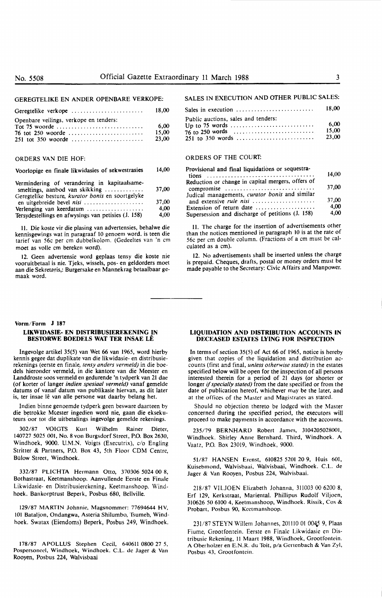4,00

# GEREGTELIKE EN ANDER OPENBARE VERKOPE:

| Geregtelike verkope                    | 18.00 |
|----------------------------------------|-------|
| Openbare veilings, verkope en tenders: |       |
|                                        | -6.00 |
|                                        | 15.00 |
|                                        | 23.00 |

# ORDERS VAN DIE HOF:

| Voorlopige en finale likwidasies of sekwestrasies |              |
|---------------------------------------------------|--------------|
| Vermindering of verandering in kapitaalsame-      |              |
| smeltings, aanbod van skikking                    | 37.00        |
| Geregtelike besture, kurator bonis en soortgelyke |              |
| en uitgebreide bevel nisi                         | 37.00        |
| Verlenging van keerdatum                          | 4.00         |
|                                                   | $\mathbf{A}$ |

II. Die koste vir die plasing van advertensies, behalwe die kennisgewings wat in paragraaf 10 genoem word. is teen die tarief van 56c per cm dubbelkolom. (Gedeeltes van 'n cm moet as voile cm bereken word).

Tersydestellings en afwysings van petisies (J. 158)

12. Geen advertensie word geplaas tensy die koste nie vooruitbetaal is nie. Tjeks, wissels, pos- en geldorders moet aan die Sekretaris,; Burgersake en Mannekrag betaalbaar gemaak word.

# **Vorm/Form J 187**

# **LIKWIDASIE- EN DISTRIBUSIEREKENING IN BES10RWE BOEDELS WAT TER INSAE** LE

lngevolge artikel 35(5) van Wet 66 van 1965, word hierby kennis gegee dat duplikate van die likwidasie- en distribusierekenings (eerste en finale, *tensy anders vermeld)* in die boedels hieronder vermeld, in die kantore van die Meester en Landdroste soos vermeld en gedurende 'n tydperk van 21 dae (of korter of langer *indien spesiaal vermeld)* vanaf gemelde datums of vanaf datum van publikasie hiervan, as dit later is, ter insae lê van alle persone wat daarby belang het.

lndien binne genoemde tydperk geen besware daarteen by die betrokke Mcester ingedien word nie, gaan die eksekuteurs oor tot die uitbetalings ingevolge gemelde rekenings.

302/87 VOIGTS Kurt Wilhelm Rainer Dieter, 140727 5025 001, No. 8 von Burgsdorf Street, P.O. Box 2630, Windhoek, 9000. U.M.N. Voigts (Executrix), c/o Engling Stritter & Partners, P.O. Box 43, 5th Floor COM Centre, Billow Street, Windhoek.

332/87 PLICHTA Hermann Otto, 370306 5024 00 8, Bothastraat, Keetmanshoop. Aanvullende Eerste en Finale Likwidasie- en Distribusierekening, Keetmanshoop. Windhoek. Bankorptrust Beperk, Posbus 680, Bellville.

129/87 MARTIN Johnnie, Magsnommer: 77694644 HV, 101 Bataljon, Ondangwa, Asteria Shilumbo, Tsumeb, Windhoek. Swatax (Eiendoms) Beperk, Posbus 249, Windhoek.

178/87 APOLLUS Stephen Cecil, 640611 0800 27 5, Pospersoneel, Windhoek, Windhoek. C.L. de Jager & Van Rooyen, Posbus 224, Walvisbaai

# SALES IN EXECUTION AND OTHER PUBLIC SALES:

| Sales in execution $\ldots \ldots \ldots \ldots \ldots \ldots \ldots$ | 18.00                  |
|-----------------------------------------------------------------------|------------------------|
| Public auctions, sales and tenders:                                   | 6.00<br>15.00<br>23.00 |

#### ORDERS OF THE COURT:

| Provisional and final liquidations or sequestra-                              |       |
|-------------------------------------------------------------------------------|-------|
| tions $\ldots \ldots \ldots \ldots \ldots \ldots \ldots \ldots \ldots \ldots$ | 14.00 |
| Reduction or change in capital mergers, offers of                             |       |
|                                                                               | 37.00 |
| Judical managements, curator bonis and similar                                |       |
| and extensive rule nisi                                                       | 37.00 |
| Extension of return date                                                      | 4.00  |
| Supersession and discharge of petitions (J. 158)                              | 4,00  |

II. The charge for the insertion of advertisements other than the notices mentioned in paragraph 10 is at the rate of 56c per cm double column. (Fractions of a cm must be calculated as a cm).

12. No advertisements shall be inserted unless the charge is prepaid. Cheques, drafts, postal or money orders must be made payable to the Secretary: Civic Affairs and Manpower.

### **LIQUIDATION AND DISTRIBUTION ACCOUNTS IN DECEASED ESTATES LYING FOR INSPECTION**

In terms of section 35(5) of Act 66 of 1965, notice is hereby given that copies of the liquidation and distribution accounts (first and final, *unless otherwise stated)* in the estates specified below will be open for the inspection of all persons interested therein for a period of 21 days (or shorter or longer if *specially stated)* from the date specified or from the date of publication hereof, whichever may be the later, and at the offices of the Master and Magistrates as stated.

Should no objection thereto be lodged with the Master concerned during the specified period, the executors will proceed to make payments in accordance with the accounts.

235/79 BERNHARD Robert James, 3104205028001, Windhoek. Shirley Anne Bernhard. Third, Windhoek. A Vaatz, P.O. Box 23019, Windhoek, 9000.

51/87 HANSEN Erenst, 610825 5201 20 9, Huis 601, Kuisebmond, Walvisbaai, Walvisbaai, Windhoek. C.L. de Jager & Van Rooyen, Posbus 224, Walvisbaai.

218/87 VILJOEN Elizabeth Johanna, 311003 00 6200 8, Erf 129, Kerkstraat, Mariental. Phillipus Rudolf Viljoen, 310626 50 6100 4, Keetmanshoop, Windhoek. Rissik, Cox & Probart, Posbus 90, Keetmanshoop.

231/87 STEYN Willem Johannes, 201110 01 0045 9, Plaas Fiume, Grootfontein. Eerste en Finale Likwidasie en Distribusie Rekening, 11 Maart 1988, Windhoek, Grootfontein. A Oberholzer en E.N.R. du Toit, p/a Gertenbach & Van Zyl, Posbus 43, Grootfontein.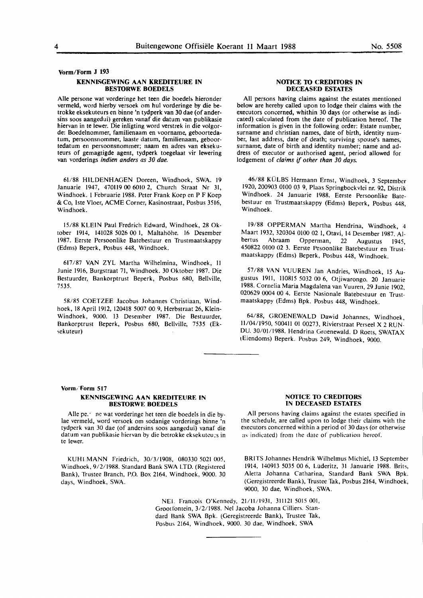#### Vorm/Form J 193

### **KENNISGEWING AAN KREDITEURE IN BES10RWE BOEDELS**

Alie persone wat vorderinge het teen die boedels hieronder vermeld, word hierby versoek om hut vorderinge by die betrokke eksekuteurs en binne 'n tydperk van 30 dae (of andersins soos aangedui) gereken vanaf die datum van publikasie hiervan in te lewer. Die inligting word verstrek in die volgorde: Boedelnommer, familienaam en voomame, geboortedatum, persoonsnommer, laaste datum, familienaam, geboortedatum en persoonsnommer; naam en adres van eksekuteurs of gemagtigde agent, tydperk toegelaat vir lewering van vorderings *indien anders as 30 dae.* 

61/88 HILDENHAGEN Doreen, Windhoek, **SWA.** 19 Januarie 1947, 470ll9 00 6010 2, Church Straat Nr 31, Windhoek. I Februarie 1988. Peter Frank Koep en P F Koep & Co, lste Vloer, ACME Corner, Kasinostraat, Posbus 3516, **Windhoek.** 

15/88 KLEIN Paul Fredrich Edward, Windhoek, 28 Oktober 1914, 141028 5026 00 I, Maltahohe. 16 Desember 1987. Eerste Persoonlike Batebestuur en Trustmaatskappy (Edms) Beperk, Posbus 448, Windhoek.

**617/87 VAN ZYL Martha Wilhelmina, Windhoek,** II Junie 1916, Burgstraat 71, Windhoek. 30 Oktober 1987. Die Bestuurder, Bankorptrust Beperk, Posbus 680, Bellville, 7535.

58/85 COETZEE Jacobus Johannes Christiaan, Windhoek, 18 April 1912, 120418 5007 00 9, Herbstraat 26, Klein-Windhoek, 9000. 13 Desember 1987. Die Bestuurder, Bankorptrust Beperk, Posbus 680, Bellville, 7535 (Eksekuteur)

#### **NOTICE TO CREDITORS IN DECEASED ESTATES**

All persons having claims against the estates mentioned below are hereby called upon to lodge their claims with the executors concerned, whithin 30 days (or otherwise as indicated) calculated from the date of publication hereof. The information is given in the following order: Estate number, surname and christian names, date of birth, identity number, last address, date of death; surviving spouse's names, surname, date of birth and identity number; name and address of executor or authorised agent, period allowed for lodgement of *claims if other than 30 days.* 

46/88 KÜLBS Hermann Ernst, Windhoek, 3 September 1920, 200903 0100 03 9, Plaas Springbock vlei nr. 92, Distrik Windhoek. 24 Januarie 1988. Eerste Persoonlike Batebestuur en Trustmaatskappy (Edms) Beperk, Posbus 448, Windhoek.

19/88 OPPERMAN Martha Hendrina, Windhoek, 4 Maart 1932, 320304 0100 02 I, Otavi, 14 Desember 1987. Al-Opperman, 22 Augustus 1945, 450822 0100 02 3. Eerste Pesoonlike Batebestuur en Trustmaatskappy (Edms) Beperk, Posbus 448, Windhoek.

57/88 VAN VUUREN Jan Andries, Windhoek, 15 Augustus 1911, 110815 5032 00 6, Otjiwarongo. 20 Januarie 1988. Cornelia Maria Magdalena van Vuuren, 29 Junie 1902, 020629 0004 00 4. Eerste Nasionale Batebestuur en Trustmaatskappy (Edms) Bpk. Posbus 448, Windhoek.

64/88, GROENEWALD Dawid Johannes, Windhoek, 11/04/1950, 500411 01 00273, Rivierstraat Perseel X 2 RUN-DU. 30/01/1988. Hendrina Groenewald. D Roets, SWATAX (Eiendoms) Beperk. Posbus 249, Windhoek, 9000.

#### **Vorm/Form 517**

#### **KENNISGEWING AAN KREDITEURE IN BES10RWE BOEDELS**

Alle pe. ne wat vorderinge het teen die boedels in die bylae vermeld, word versoek om sodanige vorderings binne 'n tydperk van 30 dae (of andersins soos aangedui) vanaf die datum van publikasie hiervan by die betrokke eksekuteu;s in te lewer.

KUHLMANN Friedrich, 30/3/1908, 080330 5021 005, Windhoek, 9/2/1988. Standard Bank SWA LTD. (Registered Bank), Trustee Branch, P.O. Box 2164, Windhoek, 9000. 30 days, Windhoek, SWA.

#### **NOTICE TO CREDITORS IN DECEASED ESTATES**

All persons having claims against the estates specified in the schedule, are called upon to lodge their claims with the executors concerned within a period of 30 days (or otherwise as indicated) from the date of publication hereof.

BRITS Johannes Hendrik Wilhelmus Michie!, 13 September 1914, 140913 5035 00 6, Liideritz, 31 Januarie 1988. Brits, Aletta Johanna Catharina, Standard Bank SWA Bpk. (Geregistreerde Bank), Trustee Tak, Posbus 2164, Windhoek, 9000, 30 dae, Windhoek, **SWA.** 

NEL Francois O'Kennedy, 21/11/1931, 311121 5015 001, Grootfontein, 3/2/1988. Ne! Jacoba Johanna Cilliers. Standard Bank SWA Bpk. (Geregistreerde Bank), Trustee Tak, Posbus 2164, Windhoek, 9000. 30 dae, Windhoek, SWA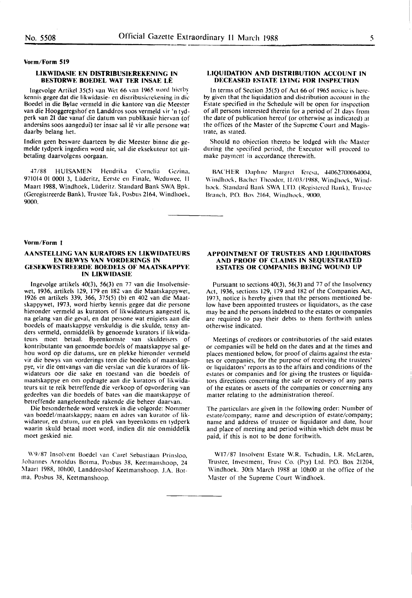#### **\!orm/Form 519**

#### **LIKWIDASIE EN DISTRIBUSIEREKENING IN BESTORWE BOEDEL WAT TER INSAE LE**

lngevolge Artikel 35(5) van Wet 66 van 1965 word hicrby kennis gegee dat die likwidasie- en distribusierekening in die Boedel in die Bylae vermeld in die kantore van die Meester van die Hooggeregshof en Landdros soos vermeld vir 'n tydperk van **21** dae vanaf die datum van publikasie hiervan (of andersins soos aangedui) ter insae sal lê vir alle persone wat daarby belang het.

Indien geen besware daarteen by die Meester binne die gemelde tydperk ingedien word nie, sal die eksekuteur tot uitbetaling daarvolgens oorgaan.

47/88 HUISAMEN Hendrika Cornelia Gezina, 971014 01 0001 3, Lüderitz, Eerste en Finale, Weduwee, 11 Maart 1988, Windhoek, Lüderitz. Standard Bank SWA Bpk. (Geregistreerde Bank), Trustee Tak, Posbus 2164, Windhoek, 9000.

# **LIQUIDATION AND DISTRIBUTION ACCOUNT IN DECEASED ESTATE LYING FOR INSPECTION**

In terms of Section 35(5) of Act 66 of 1965 notice is hereby given that the liquidation and distribution account in the Estate specified in the Schedule will be open for inspection of all persons interested therein for a period of 21 days from the date of publication hereof (or otherwise as indicated) at the offices of the Master of the Supreme Court and Magistrate, as stated.

Should no objection thereto be lodged with the Master during the specified period, the Executor will proceed to make payment in accordance therewith.

BACHER Daphne Margret Teresa, 44062700064004, Windhoek, Bacher Theodor, 11/03/1988, Windhoek, Windhoek. Standard Bank SWA LTD. (Registered Bank), Trustee Branch, P.O. Box 2164, Windhock, 9000.

#### **Vorm/Form** I

#### **AANSTELLING \'AN KURATORS EN LIKWIDATEURS EN BEWYS VAN VORDERINGS IN GESEKWESTREERDE BOEDELS OF MAATSKAPPYE IN LIKWIDASIE**

lngevolge artikels 40(3), 56(3) en 77 van die lnsolvensiewet, 1936, artikels 129, 179 en 182 van die Maatskappywet, 1926 en artikels 339, 366, 375(5) (b) en 402 van die Maatskappywet, 1973, word hierby kennis gegee dat die persone hieronder vermeld as kurators of likwidateurs aangestel is, na gelang van die geval, en dat persone wat enigiets aan die boedels of maatskappye verskuldig is die skulde, tensy anders vermeld, onmiddelik by genoemde kurators if likwidateurs moet betaal. Byeenkomste van skuldeisers of kontributante van genoemde boedels of maatskappye sal gehou word op die datums, ure en plekke hieronder vermeld vir die bewys van vorderings teen die boedels of maatskappye, vir die ontvangs van die verslae van die kurators of likwidateurs oor die sake en toestand van die boedels of maatskappye en om opdragte aan die kurators of likwidateurs uit te reik betreffende die verkoop of opvordering van gedeeltes van die boedels of bates van die maatskappye of betreffende aangeleenthede rakende die beheer daarvan.

Die besonderhede word verstrek in die volgorde: Nommer van boedel/maatskappy; naam en adres van kurator of likwidateur, en datum, uur en plek van byeenkoms en tydperk waarin skuld betaal moet word, indien dit nie onmiddelik moet geskied nie.

\\'9/87 Insolvent Boedel van Carel Sebastiaan Prinsloo, Johannes Arnoldus Botma, Posbus 38, Keetmanshoop, 24 Maart 1988, 10h00, Landdroshof Keetmanshoop. J.A. Botma, Posbus 38, Keetmanshoop.

#### **APPOINTMENT OF TRUSTEES AND LIQUIDATORS AND PROOF OF CLAIMS IN SEQUESTRATED ESTATES OR COMPANIES BEING WOUND UP**

Pursuant to sections 40(3), 56(3) and 77 of the Insolvency Act, 1936, sections 129, 179 and 182 of the Companies Act, 1973, notice is hereby given that the persons mentioned below have been appointed trustees or liquidators, as the case may be and the persons indebted to the estates or companies are required to pay their debts to them forthwith unless otherwise indicated.

Meetings of creditors or contributories of the said estates or companies will be held on the dates and at the times and places mentioned below, for proof of claims against the estates or companies, for the purpose of receiving the trustees' or liquidators' reports as to the affairs and conditions of the estates or companies and for giving the trustees or liquidators directions concerning the sale or recovery of any parts of the estates or assets of the companies or concerning any matter relating to the administration thereof.

The particulars are given in the following order: Number of estate/company; name and description of estate/company; name and address of trustee or liquidator and date, hour and place of meeting and period within which debt must be paid, if this is not to be done forthwith.

Wl7 /87 Insolvent Estate **W.R.** Tschudin, l.R. McLaren, Trustee, Investment, Trust Co. (Pty) Ltd. P.O. Box 21204, Windhoek. 30th March 1988 at IOh00 at the office of the Master of the Supreme Court Windhoek.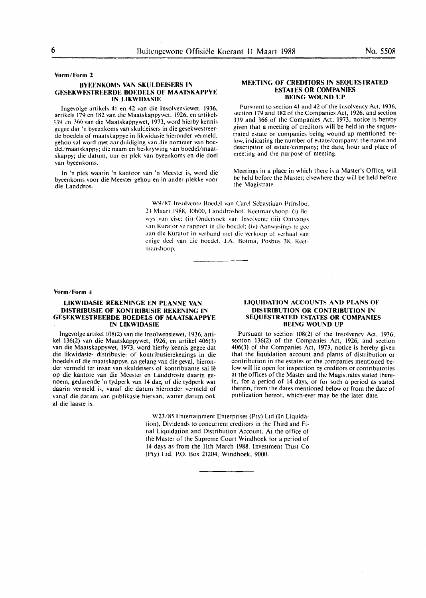#### **BYEENKOM5 VAN SKULDEISERS IN GESEKWESTREERDE BOEDELS OF MAATSKAPPYE IN UKWIDASIE**

lngevolge artikels 41 en 42 van die lnsolvensiewet, 1936, artikels 179 en 182 van die Maatskappywet, 1926, en artikels 339 en 366 van die Maatskappywet, 1973, word hierby kennis gegee dat 'n byeenkoms van skuldeisers in die gesekwestreerde boedels of maatskappye in lik widasie hieronder vermeld, gehou sal word met aanduidiging van die nommer van boedel/maatskappy; die naam en beskrywing van boedel/maatskappy; die datum, uur en plek van byeenkoms en die doel van byeen koms.

In 'n plek waarin 'n kantoor van 'n Meester is, word die byeenkoms voor die Meester gehou en in ander plekke voor die Landdros.

### **MEETING OF CREDITORS IN SEQUESTRATED ESTATES OR COMPANIES BEING WOUND UP**

Pursuant to section 41 and 42 of the Insolvency Act, 1936, section 179 and 182 of the Companies Act, 1926, and section 339 and 366 of the Companies Act, 1973, notice is hereby given that a meeting of creditors will be held in the sequestrated estate or companies being wound up mentioned below, indicating the number of estate/company: the name and description of estate/company; the date, hour and place of meeting and the purpose of meeting.

Meetings in a place in which there is a Master's Office, will be **held** before the Master; elsewhere they **will** be held before the Magistrate.

W9/87 Insolvente Boedel van Carel Sebastiaan Prinsloo, ➔ Maart **1988,** 10h00, Landdroshof, Kcctmamhoop. (i) Bc wys van eise; (ii) Ondersoek van Insolvent; (iii) Ontvangs van Kurator se rapport in die boedel; (iv) Aanwysings te gee aan die Kurator in verband met die verkoop of verhaal van enige deel van die boedel. J.A. Botma, Posbus 38, Keetrnanshoop.

#### **Vorm/Form 4**

#### **LIKWIDASIE REKENINGE EN PLANNE VAN DISTRIBUSIE OF KONTRIBUSIE REKENING IN GESEKWESTREERDE BOEDELS OF MAATSKAPPYE IN LIKWIDASIE**

lngevolge artikel 108(2) van die Insolwensiewet, 1936, artikel 136(2) van die Maatskappywet, 1926, en artikel 406(3) van die Maatskappywet, 1973, word hierby kennis gegee dat **die** likwidasie- distribusie- of kontribusierekenings in **die**  boedels of die maatskappye, na gelang van die geval, hieron**der** vermeld **ter** insae van skuldeisers **of** kontribuante sal **le**  op die kantore van die Meester en Landdroste daarin genoem, gedurende 'n tydperk van 14 dae, of die tydperk wat daarin vermeld is, vanaf die datum hieronder vermeld of vanaf die datum van publikasie hiervan, watter datum ook **al** die laaste **is.** 

### **LIQUIDATION ACCOUNTS AND PLANS OF DISTRIBUTION OR CONTRIBUTION IN SEQUESTRATED ESTATES OR COMPANIES BEING WOUND UP**

Pursuant to section 108(2) of the Insolvency Act, 1936, section 136(2) of the Companies Act, 1926, and section 406(3) of the Companies Act, 1973, notice is hereby given that the liquidation account and plants of distribution or contribution in the estates or the companies mentioned below **will** lie open for inspection by creditors or contributories at the offices of the Master and the Magistrates stated therein, for a period of 14 days, or for such a period as stated therein, from the dates mentioned below or from **the** date of publication hereof, which-ever may be the later date.

W23/85 Entertainment Enterprises (Pty) Ltd (In Liquidation), Dividends to concurrent creditors in the Third and Final Liquidation and Distribution Account. At the office of the Master of the Supreme Court Windhoek for a period of 14 days as from the 11th March 1988. Investment Trust Co (Pty) Ltd, P.O. Box 21204, Windhoek, 9000.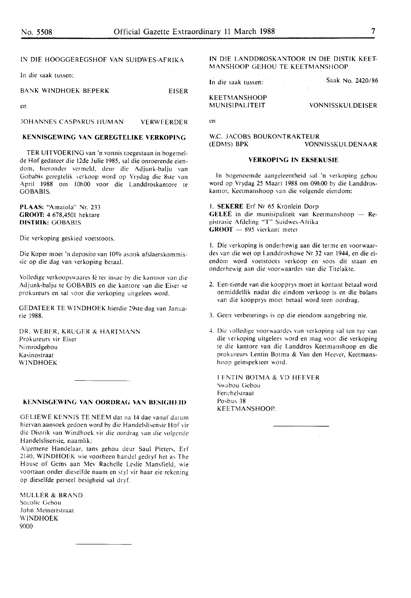# IN DIE HOOGGEREGSHOF VAN SUIDWES-AFRIKA

In die saak tussen:

# BANK WINDHOEK BEPERK EISER

en

JOHANNES CASPARUS HUMAN VERWEERDER

# **KENNISGEWING VAN GEREGTELIKE VERKOPING**

TER UITVOERING van 'n vonnis toegestaan in bogemelde Hof gedateer die 12de Julie **1985,** sal die onroerende eiendom, hieronder vermeld, deur die Adjunk-balju van Gobabis geregtelik verkoop word op Vrydag die 8ste van April 1988 om IOh00 voor die Landdroskantore te GOBABIS.

**PLAAS:** "Amatola" Nr. 233 **GROOT:** 4 678,4501 hektare **DISTRIK:** GOBABIS

Die verkoping geskied voetstoots.

Die Koper moet 'n deposito van IO% asook afslaerskommissie op die dag van verkoping betaal.

Volledige verkoopswaares le ter insae by die kantoor van die Adjunk-balju te GOBABIS en die kantore van die Eiser se prokureurs en sal voor die verkoping uitgelees word.

GEDATEER TE WINDHOEK hierdie 29ste dag van Januarie 1988.

DR. WEBER, KRUGER & HARTMANN Prokureurs vir Eiser Nimrodgebou Kasinostraat WINDHOEK

# KENNISGEWING VAN OORDRAG VAN BESIGHEID

GELIEWE KENNIS TE NEEM dat na 14 dae vanaf datum hiervan aansoek gedoen word by die Handelslisensie Hof vir die Distrik van Windhoek vir die oordrag van die volgende Handelslisensie, naamlik:

Algemene Handelaar, tans gehou deur Saul Pieters, Erf 2140, WINDHOEK wie voorheen handel gedryf het as The House of Gems aan Mev Rachelle Leslie Mansfield, wie voortaan onder dieselfde naam en styl vir haar eie rekening op dieselfde perseel besigheid sal dryf.

MULLER & **BRAND**  Socolic Gebou John Meinertstraat WINDHOEK 9000

IN DIE LANDDROSKANTOOR IN DIE DISTIK KEET-MANSHOOP GEHOU TE KEETMANSHOOP

In die saak tussen: Saak No. 2420/86

KEETMANSHOOP<br>MUNISIPALITEIT

en

W.C. JACOBS BOUKONTRAKTEUR (EDMS) BPK VONNISSKULDENAAR

### **VERKOPING IN EKSEKUSIE**

In bogenoemde aangeleentheid sal 'n verkoping gehou word op Vrydag 25 Maart 1988 om 09h00 by die Landdroskantor, Keetmanshoop van die volgende eiendom:

1. **SEKERE** Erf Nr 65 Kronlein Dorp **GELEË** in die munisipaliteit van Keetmanshoop - Registrasie A fdeling "T" Suidwes-A frika GROOT - 895 vierkant meter

1. Die verkoping is onderhewig aan die terme en voorwaardes van die wet op Landdroshowe Nr 32 van 1944, en die eiendom word voetstoots verkoop en soos dit staan en onderhewig aan die voorwaardes van die Titelakte.

- 2. Een-tiende van die koopprys moet in kontant betaal word onmiddellik nadat die eindom verkoop is en die balans van die koopprys moet betaal word teen oordrag.
- 3. Geen verbeterings is op die eiendom aangebring nie.
- 4. Die volledige voorwaardes van verkoping sal ten tye van die verkoping uitgelees word en mag voor die verkoping te die kantore van die Landdros Keetmanshoop en die prokureurs Lentin Botma & Van den Heever, Keetmanshoop geinspekteer word.

LENTIN BOTMA & VD HEEVER Swabou Gebou Fenchelstraat Posbus 38 KEETMANSHOOP.

VONNISSKULDEISER